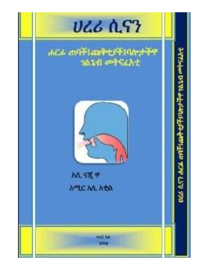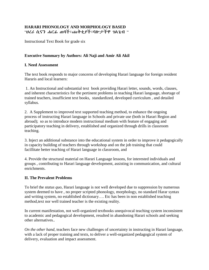## **HARARI PHONOLOGY AND MORPHOLOGY BASED** "ሀረሪ ሲናን ሐርፊ ጠባች፤ጩቅቲያች፤ባሎታችዋ ገልጌብ "

Instructional Text Book for grade six

# **Executive Summary by Authors: Ali Naji and Amir Ali Akil**

#### **I. Need Assessment**

The text book responds to major concerns of developing Harari language for foreign resident Hararis and local learners:

1. An Instructional and substantial text book providing Harari letter, sounds, words, clauses, and inherent characteristics for the pertinent problems in teaching Harari language, shortage of trained teachers, insufficient text books, standardized, developed curriculum , and detailed syllabus.

2. A Supplement to improved text supported teaching method, to enhance the ongoing process of instructing Harari language in Schools and private use (both in Harari Region and abroad); so as to introduce modern instructional medium with feature of engaging and participatory teaching in delivery, established and organized through drills in classroom teaching.

3. Inject an additional substance into the educational system in order to improve it pedagogically in capacity building of teachers through workshop and on the job training that could facillitate better teaching of Harari language in classroom, and

4. Provide the structural material on Harari Language lessons, for interested individuals and groups , contributing to Harari language development, assisting in communication, and cultural enrichments.

### **II. The Prevalent Problems**

To brief the *status quo*, Harari language is not well developed due to suppression by numerous system deemed to have , no proper scripted phonology, morphology, no standard Harar syntax and writing system, no established dictionary…. Etc has been in non established teaching method,text nor well trained teacher is the existing reality.

In current manifestation, not well-organized textbooks unequivocal teaching system inconsistent to academic and pedagogical development, resulted in abandoning Harari schools and seeking other alternatives..

*On the other hand,* teachers face new challenges of uncertainty in instructing in Harari language, with a lack of proper training and texts, to deliver a well-organized pedagogical system of delivery, evaluation and impact assessment.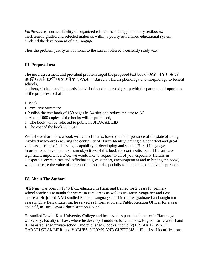*Furthermore,* non availability of organized references and supplementary textbooks, inefficiently graded and selected materials within a poorly established educational system, hindered the development of the Languge.

Thus the problem justify as a rational to the current offered a currently ready text.

### **III. Proposed text**

The need assessment and prevalent problem urged the proposed text book "ሀረሪ ሲናን ሐርፊ ጠባች፤ጩቅቲያች፤ባሎታችዋ ገልጌብ " Based on Harari phonology and morphology to benefit schools,

teachers, students and the needy individuals and interested group with the paramount importance of the proposes to draft.

- 1. Book
- Executive Summary
- Publish the text book of 139 pages in A4 size and reduce the size to A5
- 2. About 1000 copies of the books will be published,
- 3. .The book will be released to public in SHAWAL EID
- 4. The cost of the book 25 USD

We believe that this is a book written to Hararis, based on the importance of the state of being involved in towards ensuring the continuity of Harari Identity, having a great effect and great value as a means of achieving a capability of developing and sustain Harari Language. In order to achieve the maximum objectives of this book the contribution of all Harari have significant importance. Due, we would like to request to all of you, especially Hararis in Diaspora, Communities and Affochas to give support, encouragement and in buying the book, which increase the value of our contribution and especially to this book to achieve its purpose.

#### **IV. About The Authors:**

**Ali Naji** was born in 1943 E.C., educated in Harar and trained for 2 years for primary school teacher. He taught for years; in rural areas as well as in Harar: Senga ber and Gey medresa. He joined AAU studied English Language and Literature, graduated and taught ten years in Dire Dawa. Later on, he served as Information and Public Relation Officer for a year and half, in Dire Dawa Administration Council.

He studied Law in Km. University College and he served as part time lecturer in Haramaya University, Faculty of Law, where he develop 4 modules for 2 courses, English for Lawyer I and II. He established private school, and published 6 books: including BREAK DOWN OF HARARI GRAMMER, and VALUES, NORMS AND CUSTOMS in Harari self identifications.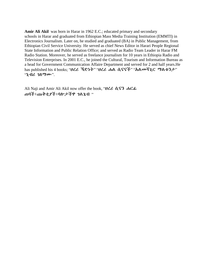**Amir Ali Akil** was born in Harar in 1962 E.C.; educated primary and secondary schools in Harar and graduated from Ethiopian Mass Media Training Institution (EMMTI) in Electronics Journalism. Later on, he studied and graduated (BA) in Public Management, from Ethiopian Civil Service University. He served as chief News Editor in Harari People Regional State Information and Public Relation Office; and served as Radio Team Leader in Harar FM Radio Station. Moreover, he served as freelance journalism for 10 years in Ethiopia Radio and Television Enterprises. In 2001 E.C., he joined the Cultural, Tourism and Information Bureau as a head for Government Communication Affaire Department and served for 2 and half years.He has published his 4 books; "ሀረሪ ኻድነት" "ሀረሪ ሐል ሲናናች" "አልመሻጊር ማልቱንታ" "ኒብሪ ገለማሙ".

Ali Naji and Amir Ali Akil now offer the book, "ሀረሪ ሲናን ሐርፊ ጠባች፤ጩቅቲያች፤ባሎታችዋ ገልጌብ "